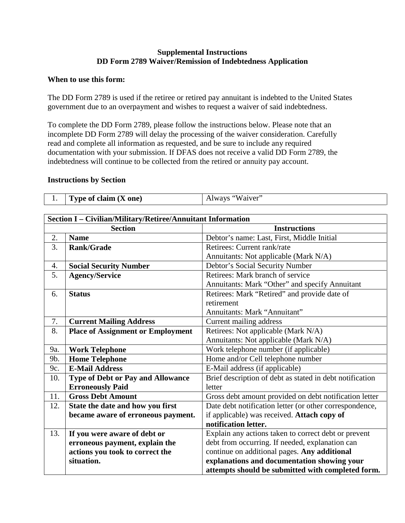## **Supplemental Instructions DD Form 2789 Waiver/Remission of Indebtedness Application**

#### **When to use this form:**

The DD Form 2789 is used if the retiree or retired pay annuitant is indebted to the United States government due to an overpayment and wishes to request a waiver of said indebtedness.

To complete the DD Form 2789, please follow the instructions below. Please note that an incomplete DD Form 2789 will delay the processing of the waiver consideration. Carefully read and complete all information as requested, and be sure to include any required documentation with your submission. If DFAS does not receive a valid DD Form 2789, the indebtedness will continue to be collected from the retired or annuity pay account.

### **Instructions by Section**

|  | Type of claim $(X \text{ one})$ | Always "Waiver" |
|--|---------------------------------|-----------------|
|--|---------------------------------|-----------------|

| Section I - Civilian/Military/Retiree/Annuitant Information |                                          |                                                          |  |  |
|-------------------------------------------------------------|------------------------------------------|----------------------------------------------------------|--|--|
| <b>Section</b>                                              |                                          | <b>Instructions</b>                                      |  |  |
| 2.                                                          | <b>Name</b>                              | Debtor's name: Last, First, Middle Initial               |  |  |
| 3.                                                          | <b>Rank/Grade</b>                        | Retirees: Current rank/rate                              |  |  |
|                                                             |                                          | Annuitants: Not applicable (Mark N/A)                    |  |  |
| 4.                                                          | <b>Social Security Number</b>            | Debtor's Social Security Number                          |  |  |
| 5.                                                          | <b>Agency/Service</b>                    | Retirees: Mark branch of service                         |  |  |
|                                                             |                                          | Annuitants: Mark "Other" and specify Annuitant           |  |  |
| 6.                                                          | <b>Status</b>                            | Retirees: Mark "Retired" and provide date of             |  |  |
|                                                             |                                          | retirement                                               |  |  |
|                                                             |                                          | Annuitants: Mark "Annuitant"                             |  |  |
| 7.                                                          | <b>Current Mailing Address</b>           | Current mailing address                                  |  |  |
| 8.                                                          | <b>Place of Assignment or Employment</b> | Retirees: Not applicable (Mark N/A)                      |  |  |
|                                                             |                                          | Annuitants: Not applicable (Mark N/A)                    |  |  |
| 9a.                                                         | <b>Work Telephone</b>                    | Work telephone number (if applicable)                    |  |  |
| 9b.                                                         | <b>Home Telephone</b>                    | Home and/or Cell telephone number                        |  |  |
| 9c.                                                         | <b>E-Mail Address</b>                    | E-Mail address (if applicable)                           |  |  |
| 10.                                                         | <b>Type of Debt or Pay and Allowance</b> | Brief description of debt as stated in debt notification |  |  |
|                                                             | <b>Erroneously Paid</b>                  | letter                                                   |  |  |
| 11.                                                         | <b>Gross Debt Amount</b>                 | Gross debt amount provided on debt notification letter   |  |  |
| 12.                                                         | State the date and how you first         | Date debt notification letter (or other correspondence,  |  |  |
|                                                             | became aware of erroneous payment.       | if applicable) was received. Attach copy of              |  |  |
|                                                             |                                          | notification letter.                                     |  |  |
| 13.                                                         | If you were aware of debt or             | Explain any actions taken to correct debt or prevent     |  |  |
|                                                             | erroneous payment, explain the           | debt from occurring. If needed, explanation can          |  |  |
|                                                             | actions you took to correct the          | continue on additional pages. Any additional             |  |  |
|                                                             | situation.                               | explanations and documentation showing your              |  |  |
|                                                             |                                          | attempts should be submitted with completed form.        |  |  |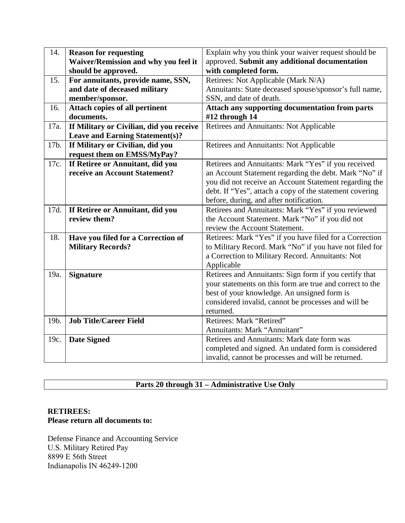| 14.  | <b>Reason for requesting</b>             | Explain why you think your waiver request should be      |
|------|------------------------------------------|----------------------------------------------------------|
|      | Waiver/Remission and why you feel it     | approved. Submit any additional documentation            |
|      | should be approved.                      | with completed form.                                     |
| 15.  | For annuitants, provide name, SSN,       | Retirees: Not Applicable (Mark N/A)                      |
|      | and date of deceased military            | Annuitants: State deceased spouse/sponsor's full name,   |
|      | member/sponsor.                          | SSN, and date of death.                                  |
| 16.  | Attach copies of all pertinent           | <b>Attach any supporting documentation from parts</b>    |
|      | documents.                               | #12 through 14                                           |
| 17a. | If Military or Civilian, did you receive | Retirees and Annuitants: Not Applicable                  |
|      | <b>Leave and Earning Statement(s)?</b>   |                                                          |
| 17b. | If Military or Civilian, did you         | Retirees and Annuitants: Not Applicable                  |
|      | request them on EMSS/MyPay?              |                                                          |
| 17c. | If Retiree or Annuitant, did you         | Retirees and Annuitants: Mark "Yes" if you received      |
|      | receive an Account Statement?            | an Account Statement regarding the debt. Mark "No" if    |
|      |                                          | you did not receive an Account Statement regarding the   |
|      |                                          | debt. If "Yes", attach a copy of the statement covering  |
|      |                                          | before, during, and after notification.                  |
| 17d. | If Retiree or Annuitant, did you         | Retirees and Annuitants: Mark "Yes" if you reviewed      |
|      | review them?                             | the Account Statement. Mark "No" if you did not          |
|      |                                          | review the Account Statement.                            |
| 18.  | Have you filed for a Correction of       | Retirees: Mark "Yes" if you have filed for a Correction  |
|      | <b>Military Records?</b>                 | to Military Record. Mark "No" if you have not filed for  |
|      |                                          | a Correction to Military Record. Annuitants: Not         |
|      |                                          | Applicable                                               |
| 19a. | <b>Signature</b>                         | Retirees and Annuitants: Sign form if you certify that   |
|      |                                          | your statements on this form are true and correct to the |
|      |                                          | best of your knowledge. An unsigned form is              |
|      |                                          | considered invalid, cannot be processes and will be      |
|      |                                          | returned.                                                |
| 19b. | <b>Job Title/Career Field</b>            | Retirees: Mark "Retired"                                 |
|      |                                          | Annuitants: Mark "Annuitant"                             |
| 19c. | <b>Date Signed</b>                       | Retirees and Annuitants: Mark date form was              |
|      |                                          | completed and signed. An undated form is considered      |
|      |                                          | invalid, cannot be processes and will be returned.       |

# **Parts 20 through 31 – Administrative Use Only**

## **RETIREES: Please return all documents to:**

Defense Finance and Accounting Service U.S. Military Retired Pay 8899 E 56th Street Indianapolis IN 46249-1200